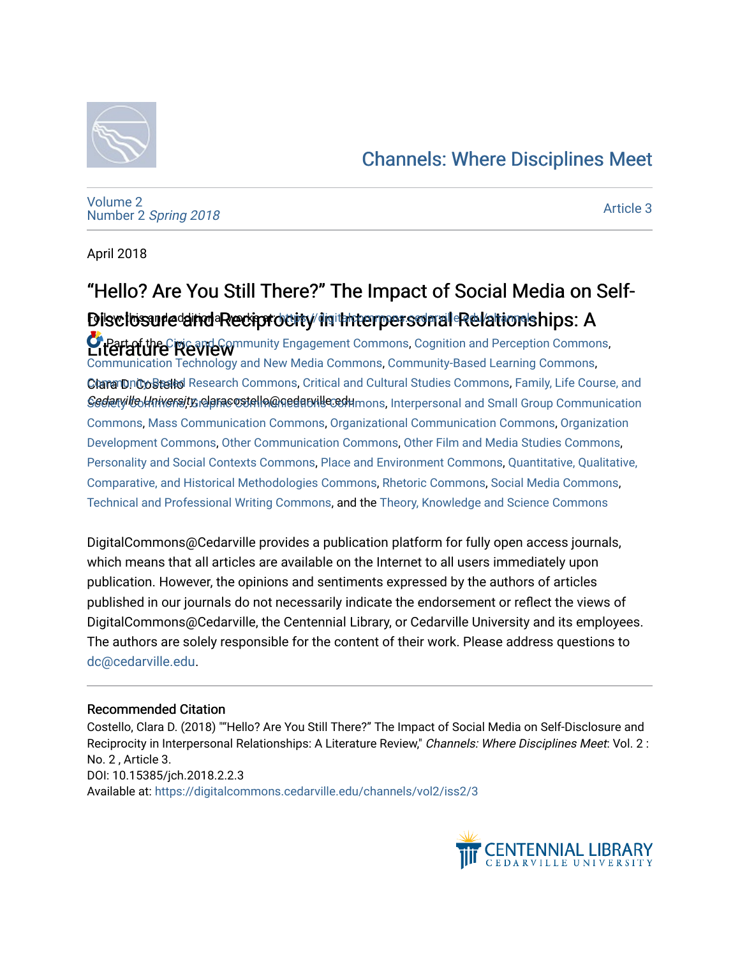#### [Channels: Where Disciplines Meet](https://digitalcommons.cedarville.edu/channels)



[Volume 2](https://digitalcommons.cedarville.edu/channels/vol2) Number 2 [Spring 2018](https://digitalcommons.cedarville.edu/channels/vol2/iss2) 

[Article 3](https://digitalcommons.cedarville.edu/channels/vol2/iss2/3) 

April 2018

# "Hello? Are You Still There?" The Impact of Social Media on Self-Disclosure and Reciprocity in thterpersonal Relationships: A

**Literature Review** Community Engagement Commons, [Cognition and Perception Commons,](http://network.bepress.com/hgg/discipline/407?utm_source=digitalcommons.cedarville.edu%2Fchannels%2Fvol2%2Fiss2%2F3&utm_medium=PDF&utm_campaign=PDFCoverPages) Clara DnCoStello Research Commons, [Critical and Cultural Studies Commons,](http://network.bepress.com/hgg/discipline/328?utm_source=digitalcommons.cedarville.edu%2Fchannels%2Fvol2%2Fiss2%2F3&utm_medium=PDF&utm_campaign=PDFCoverPages) Family, Life Course, and Gedaryille University claracostelle@qedatville@dumons, [Interpersonal and Small Group Communication](http://network.bepress.com/hgg/discipline/332?utm_source=digitalcommons.cedarville.edu%2Fchannels%2Fvol2%2Fiss2%2F3&utm_medium=PDF&utm_campaign=PDFCoverPages) [Communication Technology and New Media Commons,](http://network.bepress.com/hgg/discipline/327?utm_source=digitalcommons.cedarville.edu%2Fchannels%2Fvol2%2Fiss2%2F3&utm_medium=PDF&utm_campaign=PDFCoverPages) [Community-Based Learning Commons](http://network.bepress.com/hgg/discipline/1046?utm_source=digitalcommons.cedarville.edu%2Fchannels%2Fvol2%2Fiss2%2F3&utm_medium=PDF&utm_campaign=PDFCoverPages), [Commons](http://network.bepress.com/hgg/discipline/332?utm_source=digitalcommons.cedarville.edu%2Fchannels%2Fvol2%2Fiss2%2F3&utm_medium=PDF&utm_campaign=PDFCoverPages), [Mass Communication Commons,](http://network.bepress.com/hgg/discipline/334?utm_source=digitalcommons.cedarville.edu%2Fchannels%2Fvol2%2Fiss2%2F3&utm_medium=PDF&utm_campaign=PDFCoverPages) [Organizational Communication Commons,](http://network.bepress.com/hgg/discipline/335?utm_source=digitalcommons.cedarville.edu%2Fchannels%2Fvol2%2Fiss2%2F3&utm_medium=PDF&utm_campaign=PDFCoverPages) [Organization](http://network.bepress.com/hgg/discipline/1242?utm_source=digitalcommons.cedarville.edu%2Fchannels%2Fvol2%2Fiss2%2F3&utm_medium=PDF&utm_campaign=PDFCoverPages) [Development Commons](http://network.bepress.com/hgg/discipline/1242?utm_source=digitalcommons.cedarville.edu%2Fchannels%2Fvol2%2Fiss2%2F3&utm_medium=PDF&utm_campaign=PDFCoverPages), [Other Communication Commons,](http://network.bepress.com/hgg/discipline/339?utm_source=digitalcommons.cedarville.edu%2Fchannels%2Fvol2%2Fiss2%2F3&utm_medium=PDF&utm_campaign=PDFCoverPages) [Other Film and Media Studies Commons](http://network.bepress.com/hgg/discipline/565?utm_source=digitalcommons.cedarville.edu%2Fchannels%2Fvol2%2Fiss2%2F3&utm_medium=PDF&utm_campaign=PDFCoverPages), [Personality and Social Contexts Commons](http://network.bepress.com/hgg/discipline/413?utm_source=digitalcommons.cedarville.edu%2Fchannels%2Fvol2%2Fiss2%2F3&utm_medium=PDF&utm_campaign=PDFCoverPages), [Place and Environment Commons](http://network.bepress.com/hgg/discipline/424?utm_source=digitalcommons.cedarville.edu%2Fchannels%2Fvol2%2Fiss2%2F3&utm_medium=PDF&utm_campaign=PDFCoverPages), [Quantitative, Qualitative,](http://network.bepress.com/hgg/discipline/423?utm_source=digitalcommons.cedarville.edu%2Fchannels%2Fvol2%2Fiss2%2F3&utm_medium=PDF&utm_campaign=PDFCoverPages)  [Comparative, and Historical Methodologies Commons,](http://network.bepress.com/hgg/discipline/423?utm_source=digitalcommons.cedarville.edu%2Fchannels%2Fvol2%2Fiss2%2F3&utm_medium=PDF&utm_campaign=PDFCoverPages) [Rhetoric Commons,](http://network.bepress.com/hgg/discipline/575?utm_source=digitalcommons.cedarville.edu%2Fchannels%2Fvol2%2Fiss2%2F3&utm_medium=PDF&utm_campaign=PDFCoverPages) [Social Media Commons](http://network.bepress.com/hgg/discipline/1249?utm_source=digitalcommons.cedarville.edu%2Fchannels%2Fvol2%2Fiss2%2F3&utm_medium=PDF&utm_campaign=PDFCoverPages), [Technical and Professional Writing Commons](http://network.bepress.com/hgg/discipline/1347?utm_source=digitalcommons.cedarville.edu%2Fchannels%2Fvol2%2Fiss2%2F3&utm_medium=PDF&utm_campaign=PDFCoverPages), and the [Theory, Knowledge and Science Commons](http://network.bepress.com/hgg/discipline/432?utm_source=digitalcommons.cedarville.edu%2Fchannels%2Fvol2%2Fiss2%2F3&utm_medium=PDF&utm_campaign=PDFCoverPages)

DigitalCommons@Cedarville provides a publication platform for fully open access journals, which means that all articles are available on the Internet to all users immediately upon publication. However, the opinions and sentiments expressed by the authors of articles published in our journals do not necessarily indicate the endorsement or reflect the views of DigitalCommons@Cedarville, the Centennial Library, or Cedarville University and its employees. The authors are solely responsible for the content of their work. Please address questions to [dc@cedarville.edu.](mailto:dc@cedarville.edu)

#### Recommended Citation

Costello, Clara D. (2018) ""Hello? Are You Still There?" The Impact of Social Media on Self-Disclosure and Reciprocity in Interpersonal Relationships: A Literature Review," Channels: Where Disciplines Meet: Vol. 2 : No. 2 , Article 3. DOI: 10.15385/jch.2018.2.2.3 Available at: [https://digitalcommons.cedarville.edu/channels/vol2/iss2/3](https://digitalcommons.cedarville.edu/channels/vol2/iss2/3?utm_source=digitalcommons.cedarville.edu%2Fchannels%2Fvol2%2Fiss2%2F3&utm_medium=PDF&utm_campaign=PDFCoverPages) 

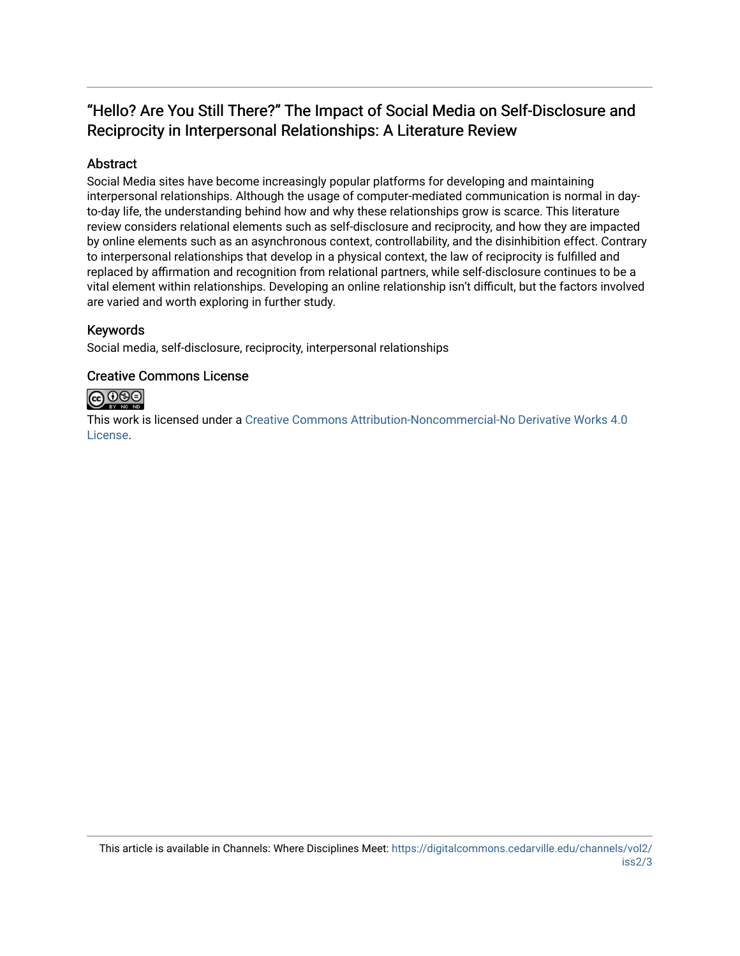#### "Hello? Are You Still There?" The Impact of Social Media on Self-Disclosure and Reciprocity in Interpersonal Relationships: A Literature Review

#### Abstract

Social Media sites have become increasingly popular platforms for developing and maintaining interpersonal relationships. Although the usage of computer-mediated communication is normal in dayto-day life, the understanding behind how and why these relationships grow is scarce. This literature review considers relational elements such as self-disclosure and reciprocity, and how they are impacted by online elements such as an asynchronous context, controllability, and the disinhibition effect. Contrary to interpersonal relationships that develop in a physical context, the law of reciprocity is fulfilled and replaced by affirmation and recognition from relational partners, while self-disclosure continues to be a vital element within relationships. Developing an online relationship isn't difficult, but the factors involved are varied and worth exploring in further study.

#### Keywords

Social media, self-disclosure, reciprocity, interpersonal relationships

#### Creative Commons License



This work is licensed under a [Creative Commons Attribution-Noncommercial-No Derivative Works 4.0](http://creativecommons.org/licenses/by-nc-nd/4.0/) [License](http://creativecommons.org/licenses/by-nc-nd/4.0/).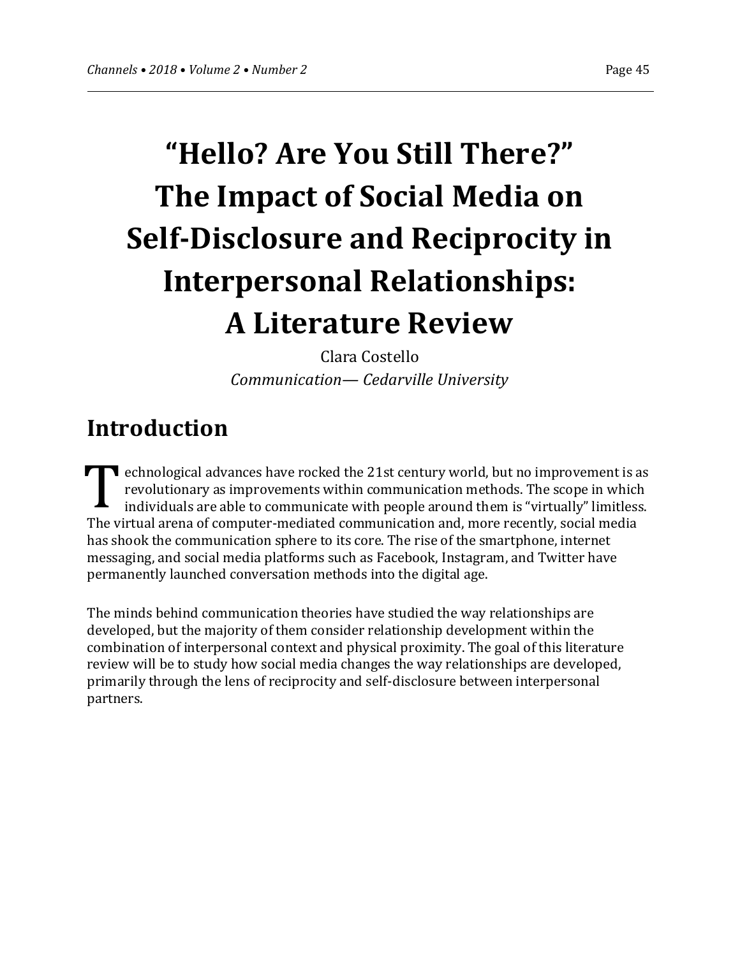# **"Hello? Are You Still There?" The Impact of Social Media on Self-Disclosure and Reciprocity in Interpersonal Relationships: A Literature Review**

Clara Costello *Communication— Cedarville University*

# **Introduction**

**T** echnological advances have rocked the 21st century world, but no improvement is as revolutionary as improvements within communication methods. The scope in which individuals are able to communicate with people around them is "virtually" limitless. The virtual arena of computer-mediated communication and, more recently, social media has shook the communication sphere to its core. The rise of the smartphone, internet messaging, and social media platforms such as Facebook, Instagram, and Twitter have permanently launched conversation methods into the digital age. T

The minds behind communication theories have studied the way relationships are developed, but the majority of them consider relationship development within the combination of interpersonal context and physical proximity. The goal of this literature review will be to study how social media changes the way relationships are developed, primarily through the lens of reciprocity and self-disclosure between interpersonal partners.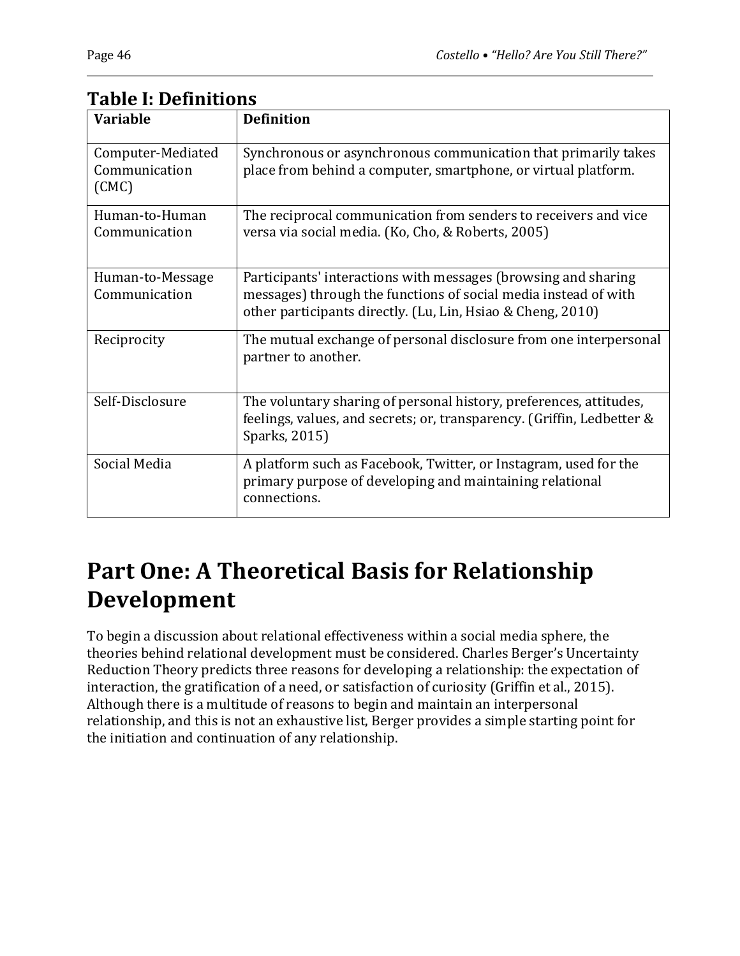| <b>Variable</b>                             | <b>Definition</b>                                                                                                                                                                                |
|---------------------------------------------|--------------------------------------------------------------------------------------------------------------------------------------------------------------------------------------------------|
| Computer-Mediated<br>Communication<br>(CMC) | Synchronous or asynchronous communication that primarily takes<br>place from behind a computer, smartphone, or virtual platform.                                                                 |
| Human-to-Human<br>Communication             | The reciprocal communication from senders to receivers and vice<br>versa via social media. (Ko, Cho, & Roberts, 2005)                                                                            |
| Human-to-Message<br>Communication           | Participants' interactions with messages (browsing and sharing<br>messages) through the functions of social media instead of with<br>other participants directly. (Lu, Lin, Hsiao & Cheng, 2010) |
| Reciprocity                                 | The mutual exchange of personal disclosure from one interpersonal<br>partner to another.                                                                                                         |
| Self-Disclosure                             | The voluntary sharing of personal history, preferences, attitudes,<br>feelings, values, and secrets; or, transparency. (Griffin, Ledbetter &<br>Sparks, 2015)                                    |
| Social Media                                | A platform such as Facebook, Twitter, or Instagram, used for the<br>primary purpose of developing and maintaining relational<br>connections.                                                     |

#### **Table I: Definitions**

# **Part One: A Theoretical Basis for Relationship Development**

To begin a discussion about relational effectiveness within a social media sphere, the theories behind relational development must be considered. Charles Berger's Uncertainty Reduction Theory predicts three reasons for developing a relationship: the expectation of interaction, the gratification of a need, or satisfaction of curiosity (Griffin et al., 2015). Although there is a multitude of reasons to begin and maintain an interpersonal relationship, and this is not an exhaustive list, Berger provides a simple starting point for the initiation and continuation of any relationship.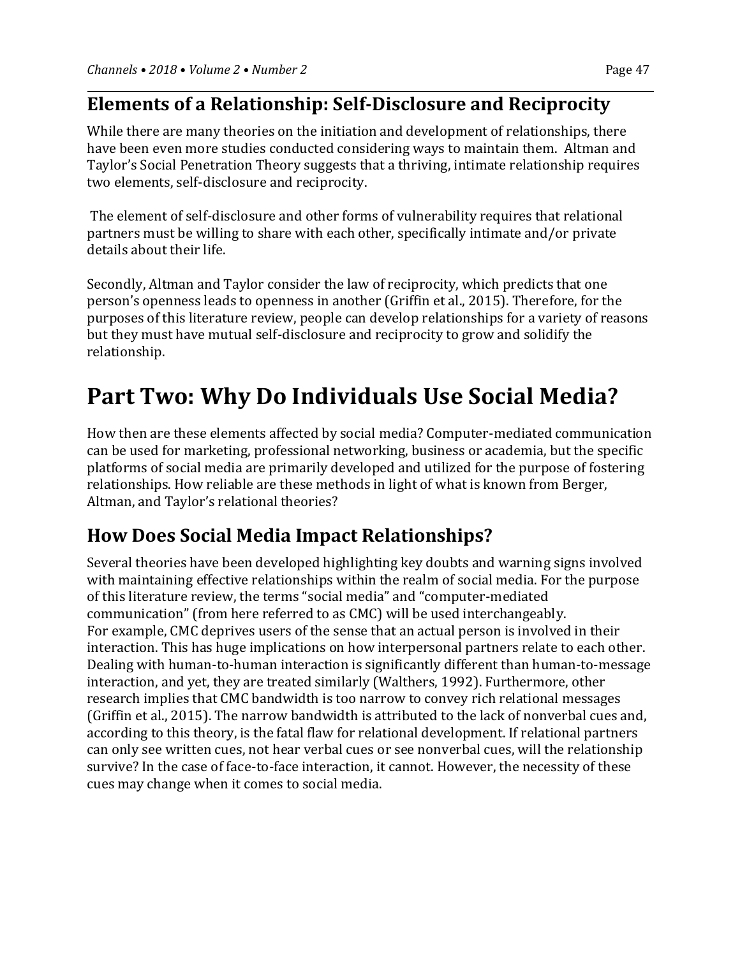#### **Elements of a Relationship: Self-Disclosure and Reciprocity**

While there are many theories on the initiation and development of relationships, there have been even more studies conducted considering ways to maintain them. Altman and Taylor's Social Penetration Theory suggests that a thriving, intimate relationship requires two elements, self-disclosure and reciprocity.

The element of self-disclosure and other forms of vulnerability requires that relational partners must be willing to share with each other, specifically intimate and/or private details about their life.

Secondly, Altman and Taylor consider the law of reciprocity, which predicts that one person's openness leads to openness in another (Griffin et al., 2015). Therefore, for the purposes of this literature review, people can develop relationships for a variety of reasons but they must have mutual self-disclosure and reciprocity to grow and solidify the relationship.

# **Part Two: Why Do Individuals Use Social Media?**

How then are these elements affected by social media? Computer-mediated communication can be used for marketing, professional networking, business or academia, but the specific platforms of social media are primarily developed and utilized for the purpose of fostering relationships. How reliable are these methods in light of what is known from Berger, Altman, and Taylor's relational theories?

#### **How Does Social Media Impact Relationships?**

Several theories have been developed highlighting key doubts and warning signs involved with maintaining effective relationships within the realm of social media. For the purpose of this literature review, the terms "social media" and "computer-mediated communication" (from here referred to as CMC) will be used interchangeably. For example, CMC deprives users of the sense that an actual person is involved in their interaction. This has huge implications on how interpersonal partners relate to each other. Dealing with human-to-human interaction is significantly different than human-to-message interaction, and yet, they are treated similarly (Walthers, 1992). Furthermore, other research implies that CMC bandwidth is too narrow to convey rich relational messages (Griffin et al., 2015). The narrow bandwidth is attributed to the lack of nonverbal cues and, according to this theory, is the fatal flaw for relational development. If relational partners can only see written cues, not hear verbal cues or see nonverbal cues, will the relationship survive? In the case of face-to-face interaction, it cannot. However, the necessity of these cues may change when it comes to social media.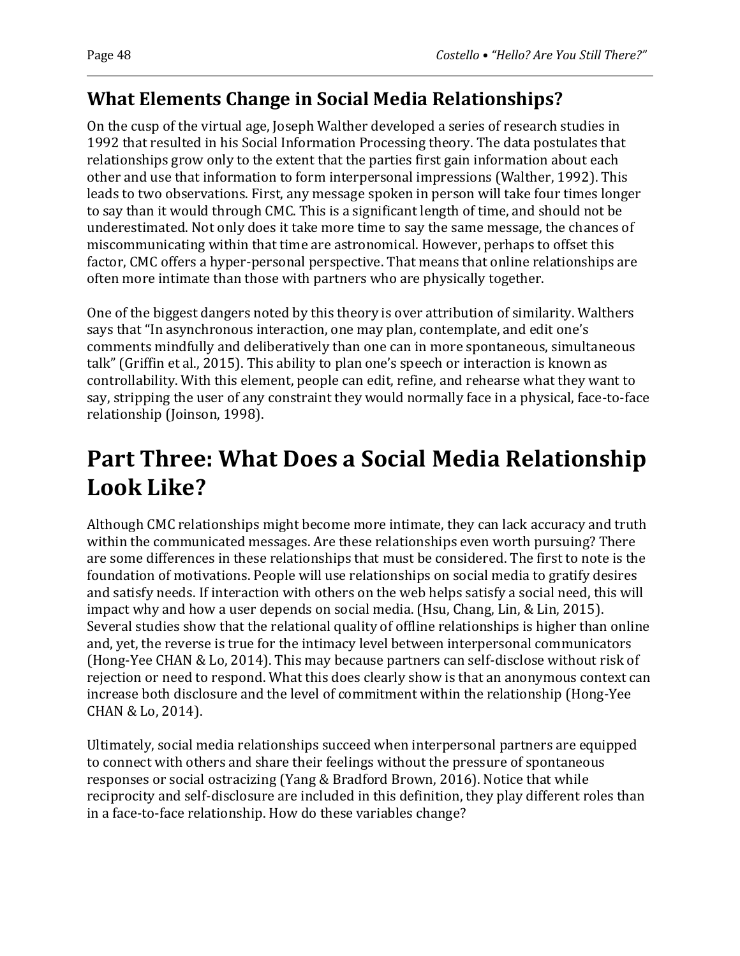## **What Elements Change in Social Media Relationships?**

On the cusp of the virtual age, Joseph Walther developed a series of research studies in 1992 that resulted in his Social Information Processing theory. The data postulates that relationships grow only to the extent that the parties first gain information about each other and use that information to form interpersonal impressions (Walther, 1992). This leads to two observations. First, any message spoken in person will take four times longer to say than it would through CMC. This is a significant length of time, and should not be underestimated. Not only does it take more time to say the same message, the chances of miscommunicating within that time are astronomical. However, perhaps to offset this factor, CMC offers a hyper-personal perspective. That means that online relationships are often more intimate than those with partners who are physically together.

One of the biggest dangers noted by this theory is over attribution of similarity. Walthers says that "In asynchronous interaction, one may plan, contemplate, and edit one's comments mindfully and deliberatively than one can in more spontaneous, simultaneous talk" (Griffin et al., 2015). This ability to plan one's speech or interaction is known as controllability. With this element, people can edit, refine, and rehearse what they want to say, stripping the user of any constraint they would normally face in a physical, face-to-face relationship (Joinson, 1998).

# **Part Three: What Does a Social Media Relationship Look Like?**

Although CMC relationships might become more intimate, they can lack accuracy and truth within the communicated messages. Are these relationships even worth pursuing? There are some differences in these relationships that must be considered. The first to note is the foundation of motivations. People will use relationships on social media to gratify desires and satisfy needs. If interaction with others on the web helps satisfy a social need, this will impact why and how a user depends on social media. (Hsu, Chang, Lin, & Lin, 2015). Several studies show that the relational quality of offline relationships is higher than online and, yet, the reverse is true for the intimacy level between interpersonal communicators (Hong-Yee CHAN & Lo, 2014). This may because partners can self-disclose without risk of rejection or need to respond. What this does clearly show is that an anonymous context can increase both disclosure and the level of commitment within the relationship (Hong-Yee CHAN & Lo, 2014).

Ultimately, social media relationships succeed when interpersonal partners are equipped to connect with others and share their feelings without the pressure of spontaneous responses or social ostracizing (Yang & Bradford Brown, 2016). Notice that while reciprocity and self-disclosure are included in this definition, they play different roles than in a face-to-face relationship. How do these variables change?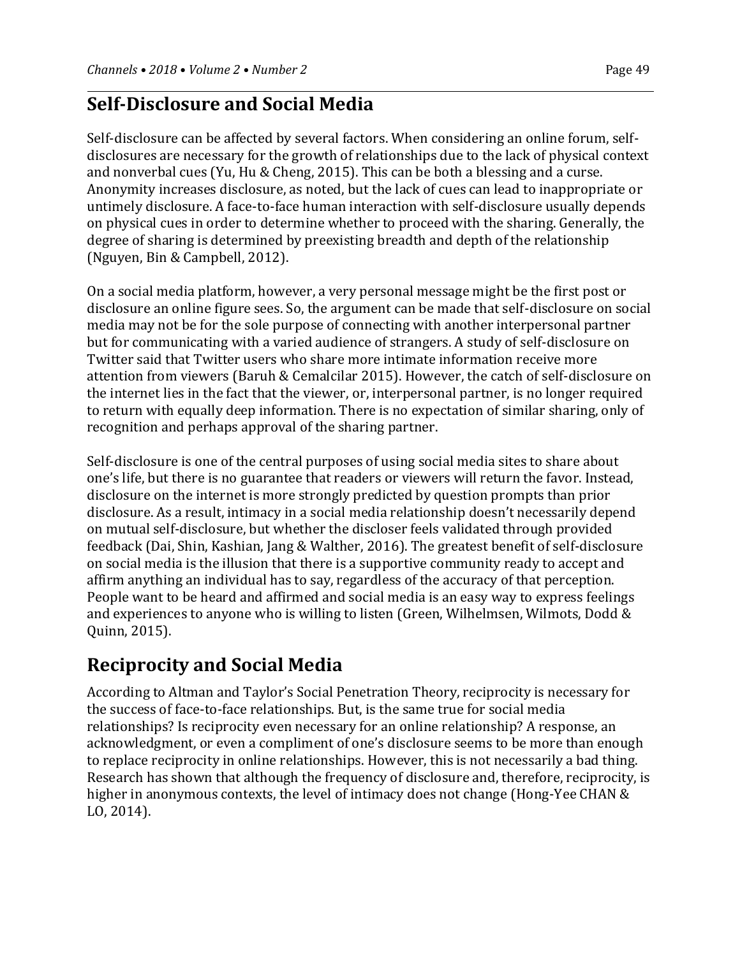#### **Self-Disclosure and Social Media**

Self-disclosure can be affected by several factors. When considering an online forum, selfdisclosures are necessary for the growth of relationships due to the lack of physical context and nonverbal cues (Yu, Hu & Cheng, 2015). This can be both a blessing and a curse. Anonymity increases disclosure, as noted, but the lack of cues can lead to inappropriate or untimely disclosure. A face-to-face human interaction with self-disclosure usually depends on physical cues in order to determine whether to proceed with the sharing. Generally, the degree of sharing is determined by preexisting breadth and depth of the relationship (Nguyen, Bin & Campbell, 2012).

On a social media platform, however, a very personal message might be the first post or disclosure an online figure sees. So, the argument can be made that self-disclosure on social media may not be for the sole purpose of connecting with another interpersonal partner but for communicating with a varied audience of strangers. A study of self-disclosure on Twitter said that Twitter users who share more intimate information receive more attention from viewers (Baruh & Cemalcilar 2015). However, the catch of self-disclosure on the internet lies in the fact that the viewer, or, interpersonal partner, is no longer required to return with equally deep information. There is no expectation of similar sharing, only of recognition and perhaps approval of the sharing partner.

Self-disclosure is one of the central purposes of using social media sites to share about one's life, but there is no guarantee that readers or viewers will return the favor. Instead, disclosure on the internet is more strongly predicted by question prompts than prior disclosure. As a result, intimacy in a social media relationship doesn't necessarily depend on mutual self-disclosure, but whether the discloser feels validated through provided feedback (Dai, Shin, Kashian, Jang & Walther, 2016). The greatest benefit of self-disclosure on social media is the illusion that there is a supportive community ready to accept and affirm anything an individual has to say, regardless of the accuracy of that perception. People want to be heard and affirmed and social media is an easy way to express feelings and experiences to anyone who is willing to listen (Green, Wilhelmsen, Wilmots, Dodd & Quinn, 2015).

## **Reciprocity and Social Media**

According to Altman and Taylor's Social Penetration Theory, reciprocity is necessary for the success of face-to-face relationships. But, is the same true for social media relationships? Is reciprocity even necessary for an online relationship? A response, an acknowledgment, or even a compliment of one's disclosure seems to be more than enough to replace reciprocity in online relationships. However, this is not necessarily a bad thing. Research has shown that although the frequency of disclosure and, therefore, reciprocity, is higher in anonymous contexts, the level of intimacy does not change (Hong-Yee CHAN & LO, 2014).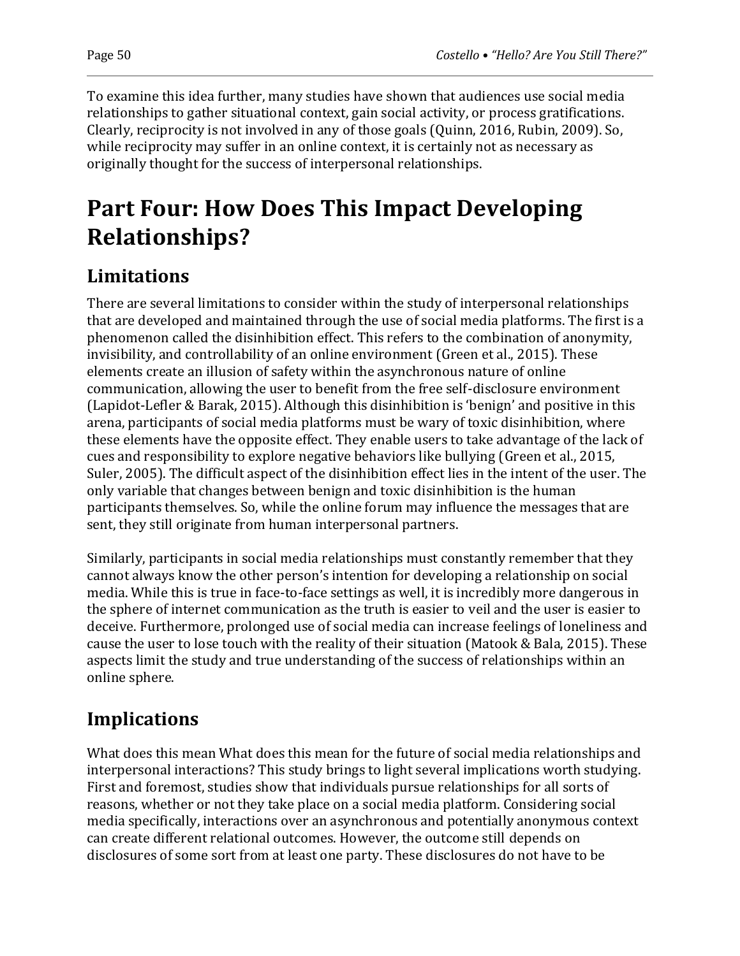To examine this idea further, many studies have shown that audiences use social media

relationships to gather situational context, gain social activity, or process gratifications. Clearly, reciprocity is not involved in any of those goals (Quinn, 2016, Rubin, 2009). So, while reciprocity may suffer in an online context, it is certainly not as necessary as originally thought for the success of interpersonal relationships.

# **Part Four: How Does This Impact Developing Relationships?**

## **Limitations**

There are several limitations to consider within the study of interpersonal relationships that are developed and maintained through the use of social media platforms. The first is a phenomenon called the disinhibition effect. This refers to the combination of anonymity, invisibility, and controllability of an online environment (Green et al., 2015). These elements create an illusion of safety within the asynchronous nature of online communication, allowing the user to benefit from the free self-disclosure environment (Lapidot-Lefler & Barak, 2015). Although this disinhibition is 'benign' and positive in this arena, participants of social media platforms must be wary of toxic disinhibition, where these elements have the opposite effect. They enable users to take advantage of the lack of cues and responsibility to explore negative behaviors like bullying (Green et al., 2015, Suler, 2005). The difficult aspect of the disinhibition effect lies in the intent of the user. The only variable that changes between benign and toxic disinhibition is the human participants themselves. So, while the online forum may influence the messages that are sent, they still originate from human interpersonal partners.

Similarly, participants in social media relationships must constantly remember that they cannot always know the other person's intention for developing a relationship on social media. While this is true in face-to-face settings as well, it is incredibly more dangerous in the sphere of internet communication as the truth is easier to veil and the user is easier to deceive. Furthermore, prolonged use of social media can increase feelings of loneliness and cause the user to lose touch with the reality of their situation (Matook & Bala, 2015). These aspects limit the study and true understanding of the success of relationships within an online sphere.

## **Implications**

What does this mean What does this mean for the future of social media relationships and interpersonal interactions? This study brings to light several implications worth studying. First and foremost, studies show that individuals pursue relationships for all sorts of reasons, whether or not they take place on a social media platform. Considering social media specifically, interactions over an asynchronous and potentially anonymous context can create different relational outcomes. However, the outcome still depends on disclosures of some sort from at least one party. These disclosures do not have to be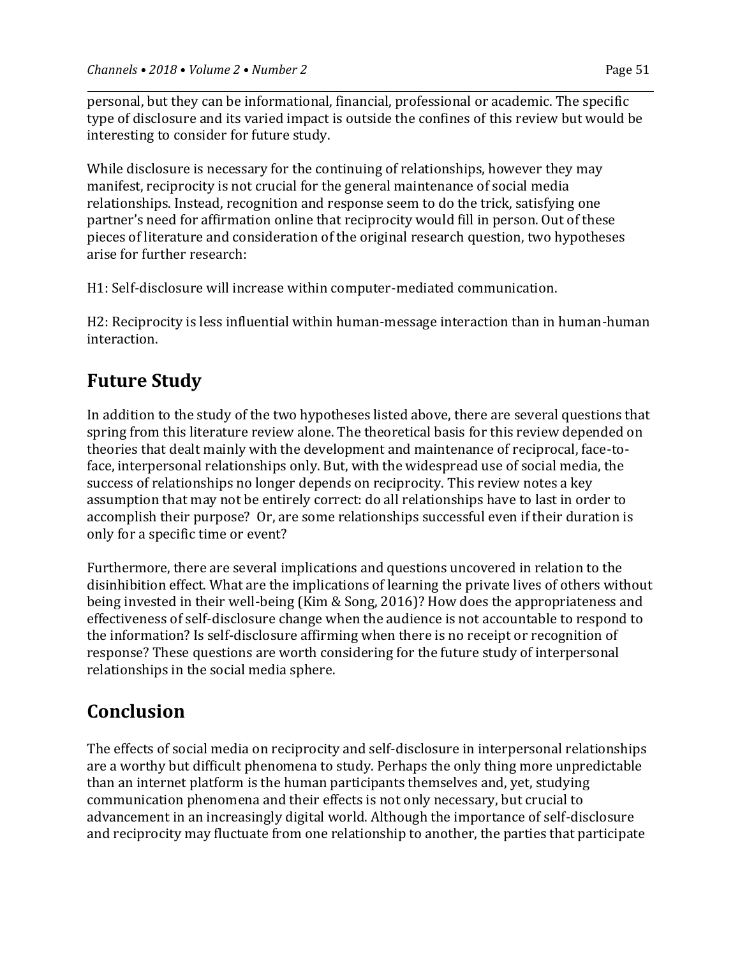personal, but they can be informational, financial, professional or academic. The specific type of disclosure and its varied impact is outside the confines of this review but would be interesting to consider for future study.

While disclosure is necessary for the continuing of relationships, however they may manifest, reciprocity is not crucial for the general maintenance of social media relationships. Instead, recognition and response seem to do the trick, satisfying one partner's need for affirmation online that reciprocity would fill in person. Out of these pieces of literature and consideration of the original research question, two hypotheses arise for further research:

H1: Self-disclosure will increase within computer-mediated communication.

H2: Reciprocity is less influential within human-message interaction than in human-human interaction.

#### **Future Study**

In addition to the study of the two hypotheses listed above, there are several questions that spring from this literature review alone. The theoretical basis for this review depended on theories that dealt mainly with the development and maintenance of reciprocal, face-toface, interpersonal relationships only. But, with the widespread use of social media, the success of relationships no longer depends on reciprocity. This review notes a key assumption that may not be entirely correct: do all relationships have to last in order to accomplish their purpose? Or, are some relationships successful even if their duration is only for a specific time or event?

Furthermore, there are several implications and questions uncovered in relation to the disinhibition effect. What are the implications of learning the private lives of others without being invested in their well-being (Kim & Song, 2016)? How does the appropriateness and effectiveness of self-disclosure change when the audience is not accountable to respond to the information? Is self-disclosure affirming when there is no receipt or recognition of response? These questions are worth considering for the future study of interpersonal relationships in the social media sphere.

#### **Conclusion**

The effects of social media on reciprocity and self-disclosure in interpersonal relationships are a worthy but difficult phenomena to study. Perhaps the only thing more unpredictable than an internet platform is the human participants themselves and, yet, studying communication phenomena and their effects is not only necessary, but crucial to advancement in an increasingly digital world. Although the importance of self-disclosure and reciprocity may fluctuate from one relationship to another, the parties that participate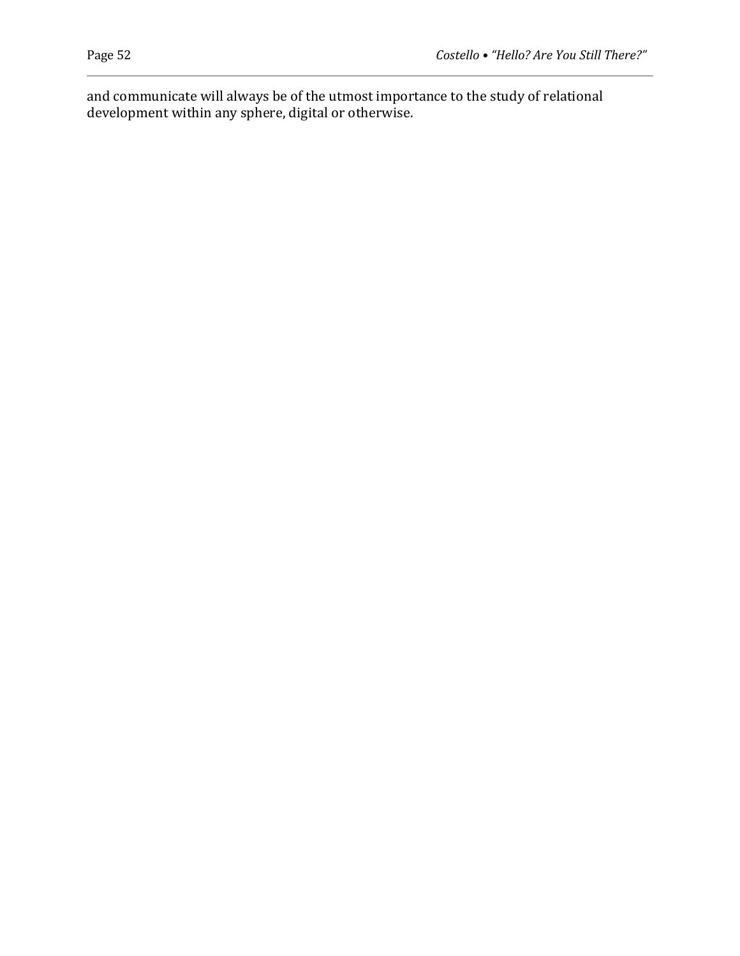and communicate will always be of the utmost importance to the study of relational development within any sphere, digital or otherwise.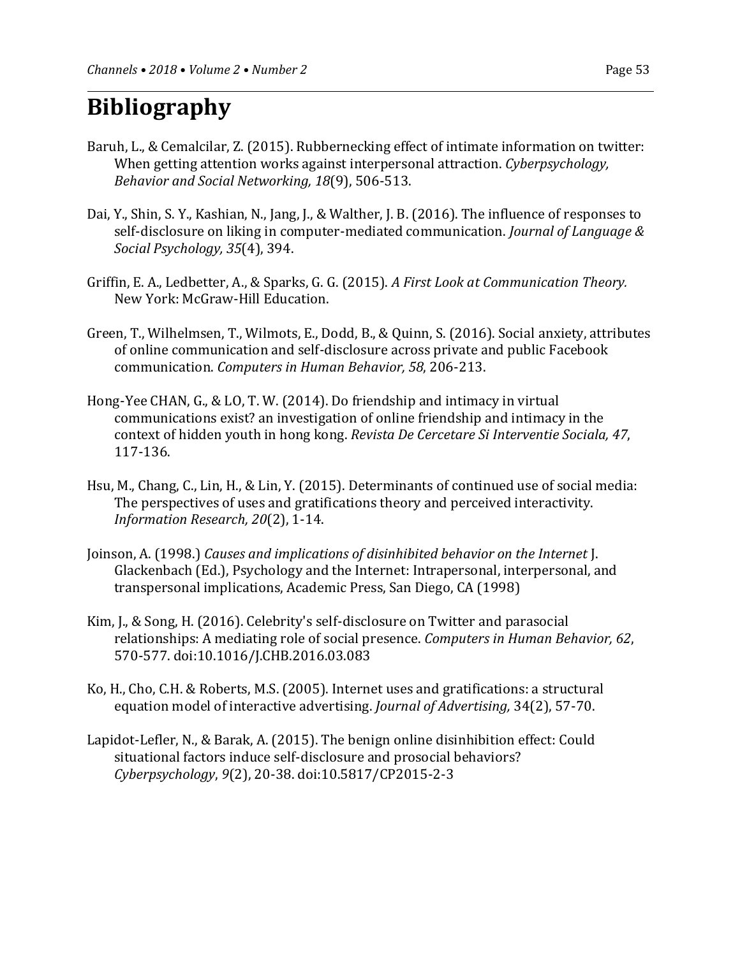# **Bibliography**

- Baruh, L., & Cemalcilar, Z. (2015). Rubbernecking effect of intimate information on twitter: When getting attention works against interpersonal attraction. *Cyberpsychology, Behavior and Social Networking, 18*(9), 506-513.
- Dai, Y., Shin, S. Y., Kashian, N., Jang, J., & Walther, J. B. (2016). The influence of responses to self-disclosure on liking in computer-mediated communication. *Journal of Language & Social Psychology, 35*(4), 394.
- Griffin, E. A., Ledbetter, A., & Sparks, G. G. (2015). *A First Look at Communication Theory.*  New York: McGraw-Hill Education.
- Green, T., Wilhelmsen, T., Wilmots, E., Dodd, B., & Quinn, S. (2016). Social anxiety, attributes of online communication and self-disclosure across private and public Facebook communication. *Computers in Human Behavior, 58*, 206-213.
- Hong-Yee CHAN, G., & LO, T. W. (2014). Do friendship and intimacy in virtual communications exist? an investigation of online friendship and intimacy in the context of hidden youth in hong kong. *Revista De Cercetare Si Interventie Sociala, 47*, 117-136.
- Hsu, M., Chang, C., Lin, H., & Lin, Y. (2015). Determinants of continued use of social media: The perspectives of uses and gratifications theory and perceived interactivity. *Information Research, 20*(2), 1-14.
- Joinson, A. (1998.) *Causes and implications of disinhibited behavior on the Internet* J. Glackenbach (Ed.), Psychology and the Internet: Intrapersonal, interpersonal, and transpersonal implications, Academic Press, San Diego, CA (1998)
- Kim, J., & Song, H. (2016). Celebrity's self-disclosure on Twitter and parasocial relationships: A mediating role of social presence. *Computers in Human Behavior, 62*, 570-577. doi:10.1016/J.CHB.2016.03.083
- Ko, H., Cho, C.H. & Roberts, M.S. (2005). Internet uses and gratifications: a structural equation model of interactive advertising. *Journal of Advertising,* 34(2), 57-70.
- Lapidot-Lefler, N., & Barak, A. (2015). The benign online disinhibition effect: Could situational factors induce self-disclosure and prosocial behaviors? *Cyberpsychology*, *9*(2), 20-38. doi:10.5817/CP2015-2-3